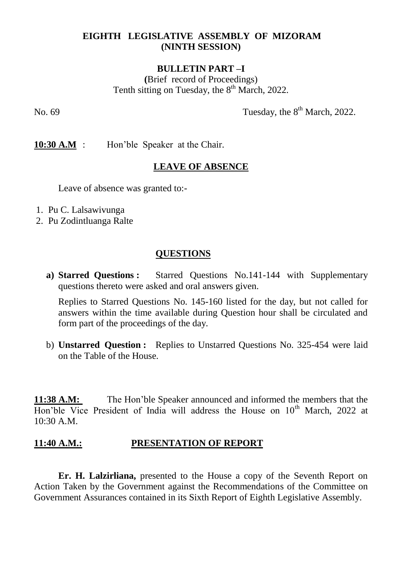# **EIGHTH LEGISLATIVE ASSEMBLY OF MIZORAM (NINTH SESSION)**

### **BULLETIN PART –I**

**(**Brief record of Proceedings) Tenth sitting on Tuesday, the  $8<sup>th</sup>$  March, 2022.

No.  $69$  Tuesday, the  $8<sup>th</sup>$  March, 2022.

**10:30 A.M** : Hon'ble Speaker at the Chair.

### **LEAVE OF ABSENCE**

Leave of absence was granted to:-

- 1. Pu C. Lalsawivunga
- 2. Pu Zodintluanga Ralte

## **QUESTIONS**

**a) Starred Questions :** Starred Questions No.141-144 with Supplementary questions thereto were asked and oral answers given.

Replies to Starred Questions No. 145-160 listed for the day, but not called for answers within the time available during Question hour shall be circulated and form part of the proceedings of the day.

b) **Unstarred Question :** Replies to Unstarred Questions No. 325-454 were laid on the Table of the House.

**11:38 A.M:** The Hon'ble Speaker announced and informed the members that the Hon'ble Vice President of India will address the House on 10<sup>th</sup> March, 2022 at 10:30 A.M.

# **11:40 A.M.: PRESENTATION OF REPORT**

**Er. H. Lalzirliana,** presented to the House a copy of the Seventh Report on Action Taken by the Government against the Recommendations of the Committee on Government Assurances contained in its Sixth Report of Eighth Legislative Assembly.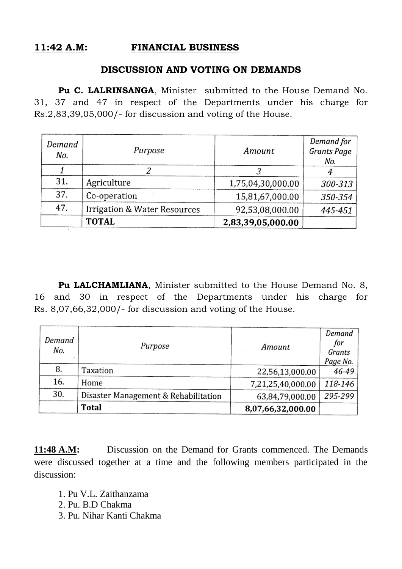# **11:42 A.M: FINANCIAL BUSINESS**

#### **DISCUSSION AND VOTING ON DEMANDS**

Pu C. LALRINSANGA, Minister submitted to the House Demand No. 31, 37 and 47 in respect of the Departments under his charge for Rs.2,83,39,05,000/- for discussion and voting of the House.

| Demand<br>No. | Purpose                                 | Amount            | Demand for<br><b>Grants Page</b><br>No. |
|---------------|-----------------------------------------|-------------------|-----------------------------------------|
|               |                                         |                   |                                         |
| 31.           | Agriculture                             | 1,75,04,30,000.00 | 300-313                                 |
| 37.           | Co-operation                            | 15,81,67,000.00   | 350-354                                 |
| 47.           | <b>Irrigation &amp; Water Resources</b> | 92,53,08,000.00   | 445-451                                 |
|               | <b>TOTAL</b>                            | 2,83,39,05,000.00 |                                         |

Pu LALCHAMLIANA, Minister submitted to the House Demand No. 8, 16 and 30 in respect of the Departments under his charge for Rs. 8,07,66,32,000/- for discussion and voting of the House.

| Demand<br>No. | Purpose                              | Amount            | Demand<br>for<br>Grants<br>Page No. |
|---------------|--------------------------------------|-------------------|-------------------------------------|
| 8.            | Taxation                             | 22,56,13,000.00   | 46-49                               |
| 16.           | Home                                 | 7,21,25,40,000.00 | 118-146                             |
| 30.           | Disaster Management & Rehabilitation | 63,84,79,000.00   | 295-299                             |
|               | Total                                | 8,07,66,32,000.00 |                                     |

**11:48 A.M:** Discussion on the Demand for Grants commenced. The Demands were discussed together at a time and the following members participated in the discussion:

- 1. Pu V.L. Zaithanzama
- 2. Pu. B.D Chakma
- 3. Pu. Nihar Kanti Chakma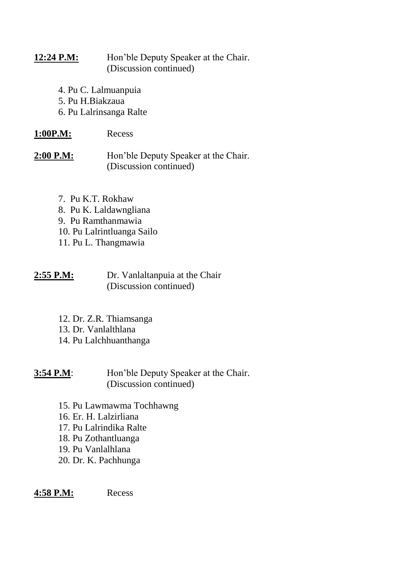## 12:24 P.M: Hon'ble Deputy Speaker at the Chair. (Discussion continued)

- 4. Pu C. Lalmuanpuia
- 5. Pu H.Biakzaua
- 6. Pu Lalrinsanga Ralte

## **1:00P.M:** Recess

2:00 P.M: Hon'ble Deputy Speaker at the Chair. (Discussion continued)

- 7. Pu K.T. Rokhaw
- 8. Pu K. Laldawngliana
- 9. Pu Ramthanmawia
- 10. Pu Lalrintluanga Sailo
- 11. Pu L. Thangmawia

| 2:55 P.M: | Dr. Vanlaltanpuia at the Chair |
|-----------|--------------------------------|
|           | (Discussion continued)         |

- 12. Dr. Z.R. Thiamsanga
- 13. Dr. Vanlalthlana
- 14. Pu Lalchhuanthanga

**3:54 P.M:** Hon'ble Deputy Speaker at the Chair. (Discussion continued)

- 15. Pu Lawmawma Tochhawng
- 16. Er. H. Lalzirliana
- 17. Pu Lalrindika Ralte
- 18. Pu Zothantluanga
- 19. Pu Vanlalhlana
- 20. Dr. K. Pachhunga

### **4:58 P.M:** Recess